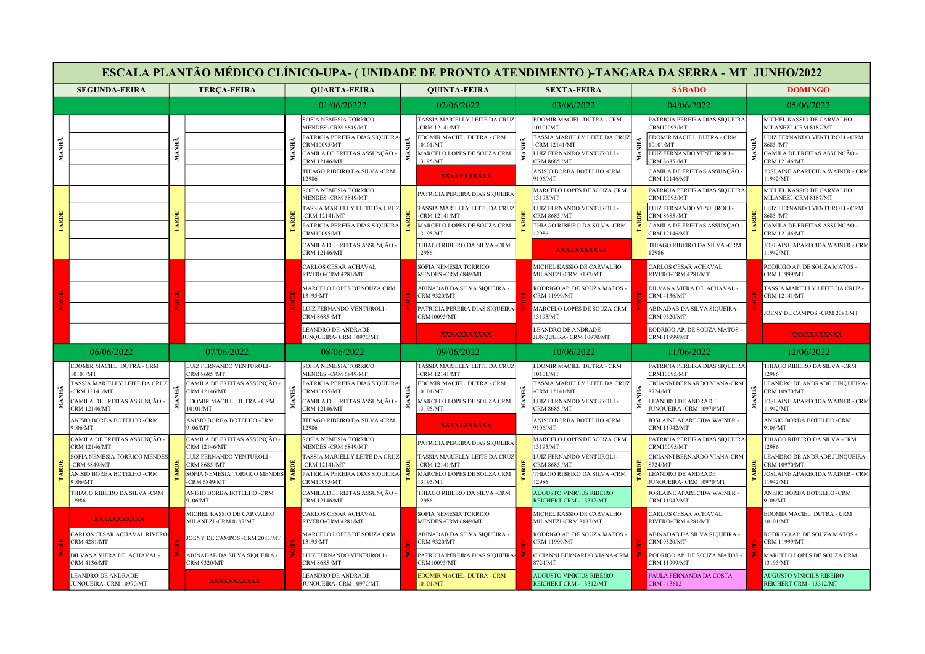|       |                                                                   |       |                                                    |                                       |                                                                                                                                                                              |                      |                                                                                                                                     |                                                     | ESCALA PLANTÃO MÉDICO CLÍNICO-UPA- (UNIDADE DE PRONTO ATENDIMENTO )-TANGARA DA SERRA - MT JUNHO/2022                                                                    |                                                    |                                                                                                                                                                      |                                            |                                                                                                                                                                                         |                                              |
|-------|-------------------------------------------------------------------|-------|----------------------------------------------------|---------------------------------------|------------------------------------------------------------------------------------------------------------------------------------------------------------------------------|----------------------|-------------------------------------------------------------------------------------------------------------------------------------|-----------------------------------------------------|-------------------------------------------------------------------------------------------------------------------------------------------------------------------------|----------------------------------------------------|----------------------------------------------------------------------------------------------------------------------------------------------------------------------|--------------------------------------------|-----------------------------------------------------------------------------------------------------------------------------------------------------------------------------------------|----------------------------------------------|
|       | <b>SEGUNDA-FEIRA</b><br><b>TERÇA-FEIRA</b><br><b>QUARTA-FEIRA</b> |       |                                                    |                                       |                                                                                                                                                                              | <b>QUINTA-FEIRA</b>  | <b>SEXTA-FEIRA</b>                                                                                                                  |                                                     |                                                                                                                                                                         | <b>SÁBADO</b>                                      |                                                                                                                                                                      | <b>DOMINGO</b>                             |                                                                                                                                                                                         |                                              |
|       |                                                                   |       |                                                    |                                       | 01/06/20222                                                                                                                                                                  |                      | 02/06/2022                                                                                                                          |                                                     | 03/06/2022                                                                                                                                                              |                                                    | 04/06/2022                                                                                                                                                           |                                            | 05/06/2022                                                                                                                                                                              |                                              |
| MANHÃ |                                                                   | MANHÃ |                                                    | <b>MANHÃ</b>                          | SOFIA NEMESIA TORRICO<br>MENDES -CRM 6849/MT<br>PATRICIA PEREIRA DIAS SIQUEIRA<br>CRM10095/MT<br>'AMILA DE FREITAS ASSUNÇÃO -<br>RM 12146/MT<br>THIAGO RIBEIRO DA SILVA -CRM | MANHĂ                | TASSIA MARIELLY LEITE DA CRUZ<br>$-CRM 12141/MT$<br>EDOMIR MACIEL DUTRA - CRM<br>10101/MT<br>MARCELO LOPES DE SOUZA CRM<br>13195/MT | MANHĂ                                               | EDOMIR MACIEL DUTRA - CRM<br>10101/MT<br>TASSIA MARIELLY LEITE DA CRUZ<br>-CRM 12141/MT<br>LUIZ FERNANDO VENTUROLI -<br><b>RM 8685 /MT</b><br>ANISIO BORBA BOTELHO -CRM | <b>ANHA</b><br>Σ                                   | PATRICIA PEREIRA DIAS SIQUEIRA-<br>CRM10095/MT<br><b>EDOMIR MACIEL DUTRA - CRM</b><br>0101/MT<br>UIZ FERNANDO VENTUROLI-<br>RM 8685/MT<br>CAMILA DE FREITAS ASSUNÇÃO | <b>IANHĂ</b><br>Σ                          | MICHEL KASSIO DE CARVALHO<br>MILANEZI -CRM 8187/MT<br>UIZ FERNANDO VENTUROLI - CRM<br>3685/MT<br>CAMILA DE FREITAS ASSUNÇÃO -<br>CRM 12146/MT<br><b>JOSLAINE APARECIDA WAINER - CRM</b> |                                              |
|       |                                                                   |       |                                                    |                                       | 2986<br>SOFIA NEMESIA TORRICO                                                                                                                                                |                      | <b>XXXXXXXXXXX</b>                                                                                                                  |                                                     | 9106/MT<br>MARCELO LOPES DE SOUZA CRM                                                                                                                                   |                                                    | <b>CRM 12146/MT</b><br>PATRICIA PEREIRA DIAS SIOUEIRA                                                                                                                |                                            | 11942/MT<br>MICHEL KASSIO DE CARVALHO                                                                                                                                                   |                                              |
|       |                                                                   |       |                                                    |                                       | MENDES -CRM 6849/MT<br><b>TASSIA MARIELLY LEITE DA CRUZ</b>                                                                                                                  |                      | PATRICIA PEREIRA DIAS SIQUEIRA<br><b>FASSIA MARIELLY LEITE DA CRUZ</b>                                                              |                                                     | 13195/MT<br>LUIZ FERNANDO VENTUROLI -                                                                                                                                   |                                                    | CRM10095/MT<br>UIZ FERNANDO VENTUROLI -                                                                                                                              | <b>ARDE</b>                                | MILANEZI -CRM 8187/MT<br>LUIZ FERNANDO VENTUROLI - CRM                                                                                                                                  |                                              |
| TARDE |                                                                   | ARDE  |                                                    | TARDE                                 | -CRM 12141/MT<br>PATRICIA PEREIRA DIAS SIQUEIRA                                                                                                                              | <b>ARDE</b>          | <b>CRM 12141/MT</b><br>MARCELO LOPES DE SOUZA CRM                                                                                   | TARDE                                               | <b>CRM 8685 /MT</b><br>THIAGO RIBEIRO DA SILVA -CRM                                                                                                                     |                                                    | CRM 8685 /MT<br>CAMILA DE FREITAS ASSUNÇÃO -                                                                                                                         |                                            | 8685 /MT<br>CAMILA DE FREITAS ASSUNÇÃO -                                                                                                                                                |                                              |
|       |                                                                   |       |                                                    |                                       | CRM10095/MT<br>CAMILA DE FREITAS ASSUNÇÃO -                                                                                                                                  |                      | 13195/MT<br>THIAGO RIBEIRO DA SILVA -CRM                                                                                            |                                                     | 12986                                                                                                                                                                   |                                                    | CRM 12146/MT<br>THIAGO RIBEIRO DA SILVA -CRM                                                                                                                         |                                            | CRM 12146/MT<br>JOSLAINE APARECIDA WAINER - CRM                                                                                                                                         |                                              |
|       |                                                                   |       |                                                    |                                       | CRM 12146/MT                                                                                                                                                                 |                      | 12986                                                                                                                               |                                                     | <b>XXXXXXXXXXX</b>                                                                                                                                                      |                                                    | 12986                                                                                                                                                                |                                            | 11942/MT                                                                                                                                                                                |                                              |
|       |                                                                   |       |                                                    |                                       | RIVERO-CRM 4281/MT                                                                                                                                                           | CARLOS CESAR ACHAVAL |                                                                                                                                     | SOFIA NEMESIA TORRICO<br><b>MENDES -CRM 6849/MT</b> |                                                                                                                                                                         | MICHEL KASSIO DE CARVALHO<br>MILANEZI -CRM 8187/MT |                                                                                                                                                                      | CARLOS CESAR ACHAVAL<br>RIVERO-CRM 4281/MT |                                                                                                                                                                                         | RODRIGO AP. DE SOUZA MATOS -<br>CRM 11999/MT |
|       |                                                                   |       |                                                    | MARCELO LOPES DE SOUZA CRM<br>3195/MT | ABINADAB DA SILVA SIQUEIRA -<br><b>CRM 9320/MT</b>                                                                                                                           |                      | RODRIGO AP. DE SOUZA MATOS -<br>CRM 11999/MT                                                                                        |                                                     | DILVANA VIERA DE ACHAVAL -<br><b>CRM 4136/MT</b>                                                                                                                        |                                                    | <b>TASSIA MARIELLY LEITE DA CRUZ-</b><br>CRM 12141/MT                                                                                                                |                                            |                                                                                                                                                                                         |                                              |
|       |                                                                   |       |                                                    |                                       | LUIZ FERNANDO VENTUROLI -<br>CRM 8685 /MT                                                                                                                                    |                      | PATRICIA PEREIRA DIAS SIQUEIRA-<br>CRM10095/MT                                                                                      |                                                     | MARCELO LOPES DE SOUZA CRM<br>13195/MT                                                                                                                                  |                                                    | ABINADAB DA SILVA SIQUEIRA -<br><b>CRM 9320/MT</b>                                                                                                                   |                                            | JOENY DE CAMPOS -CRM 2083/MT                                                                                                                                                            |                                              |
|       |                                                                   |       |                                                    |                                       | <b>LEANDRO DE ANDRADE</b><br>JUNQUEIRA- CRM 10970/MT                                                                                                                         |                      | <b>XXXXXXXXXXX</b>                                                                                                                  |                                                     | LEANDRO DE ANDRADE<br>JUNQUEIRA- CRM 10970/MT                                                                                                                           |                                                    | RODRIGO AP. DE SOUZA MATOS -<br><b>CRM 11999/MT</b>                                                                                                                  |                                            | <b>XXXXXXXXXXX</b>                                                                                                                                                                      |                                              |
|       | 06/06/2022                                                        |       | 07/06/2022                                         |                                       | 08/06/2022                                                                                                                                                                   |                      | 09/06/2022                                                                                                                          |                                                     | 10/06/2022                                                                                                                                                              |                                                    | 11/06/2022                                                                                                                                                           |                                            | 12/06/2022                                                                                                                                                                              |                                              |
|       | EDOMIR MACIEL DUTRA - CRM<br>10101/MT                             |       | LUIZ FERNANDO VENTUROLI -<br>CRM 8685 /MT          |                                       | SOFIA NEMESIA TORRICO<br>MENDES -CRM 6849/MT                                                                                                                                 |                      | TASSIA MARIELLY LEITE DA CRUZ<br>-CRM 12141/MT                                                                                      |                                                     | EDOMIR MACIEL DUTRA - CRM<br>10101/MT                                                                                                                                   |                                                    | PATRICIA PEREIRA DIAS SIQUEIRA<br>CRM10095/MT                                                                                                                        |                                            | THIAGO RIBEIRO DA SILVA -CRM<br>12986                                                                                                                                                   |                                              |
|       | <b>TASSIA MARIELLY LEITE DA CRUZ</b><br>-CRM 12141/MT             |       | CAMILA DE FREITAS ASSUNÇÃO -<br>CRM 12146/MT       |                                       | PATRICIA PEREIRA DIAS SIQUEIRA<br>CRM10095/MT                                                                                                                                | MANHÃ                | EDOMIR MACIEL DUTRA - CRM<br>0101/MT                                                                                                |                                                     | TASSIA MARIELLY LEITE DA CRUZ<br><b>CRM 12141/MT</b>                                                                                                                    | MANHÃ                                              | CICIANNI BERNARDO VIANA-CRM<br>724/MT                                                                                                                                |                                            | LEANDRO DE ANDRADE JUNQUEIRA-<br>CRM 10970/MT                                                                                                                                           |                                              |
| МАННА | CAMILA DE FREITAS ASSUNÇÃO -<br><b>CRM 12146/MT</b>               | MANHÃ | EDOMIR MACIEL DUTRA - CRM<br>10101/MT              | MANHÃ                                 | CAMILA DE FREITAS ASSUNÇÃO<br>CRM 12146/MT                                                                                                                                   |                      | MARCELO LOPES DE SOUZA CRM<br>13195/MT                                                                                              | MANHÃ                                               | LUIZ FERNANDO VENTUROLI -<br><b>CRM 8685 /MT</b>                                                                                                                        |                                                    | <b>EANDRO DE ANDRADE</b><br><b>UNQUEIRA- CRM 10970/MT</b>                                                                                                            | MANHÃ                                      | OSLAINE APARECIDA WAINER - CRM<br>1942/MT                                                                                                                                               |                                              |
|       | ANISIO BORBA BOTELHO -CRM<br>9106/MT                              |       | ANISIO BORBA BOTELHO -CRM<br>9106/MT               |                                       | THIAGO RIBEIRO DA SILVA -CRM<br>12986                                                                                                                                        |                      | <b>XXXXXXXXXXX</b>                                                                                                                  |                                                     | ANISIO BORBA BOTELHO -CRM<br>9106/MT                                                                                                                                    |                                                    | JOSLAINE APARECIDA WAINER<br>CRM 11942/MT                                                                                                                            |                                            | ANISIO BORBA BOTELHO -CRM<br>9106/MT                                                                                                                                                    |                                              |
|       | CAMILA DE FREITAS ASSUNÇÃO -<br>CRM 12146/MT                      |       | CAMILA DE FREITAS ASSUNÇÃO -<br>CRM 12146/MT       |                                       | SOFIA NEMESIA TORRICO<br>MENDES -CRM 6849/MT                                                                                                                                 |                      | PATRICIA PEREIRA DIAS SIQUEIRA                                                                                                      |                                                     | MARCELO LOPES DE SOUZA CRM<br>13195/MT                                                                                                                                  |                                                    | PATRICIA PEREIRA DIAS SIQUEIRA<br>CRM10095/MT                                                                                                                        |                                            | THIAGO RIBEIRO DA SILVA -CRM<br>12986                                                                                                                                                   |                                              |
|       | SOFIA NEMESIA TORRICO MENDES<br>-CRM $6849/MT$                    |       | LUIZ FERNANDO VENTUROLI -<br>CRM 8685 /MT          |                                       | <b>TASSIA MARIELLY LEITE DA CRUZ</b><br>-CRM 12141/MT                                                                                                                        |                      | <b>FASSIA MARIELLY LEITE DA CRUZ</b><br>CRM 12141/MT                                                                                |                                                     | LUIZ FERNANDO VENTUROLI -<br>CRM 8685 /MT                                                                                                                               |                                                    | CICIANNI BERNARDO VIANA-CRM<br>8724/MT                                                                                                                               |                                            | LEANDRO DE ANDRADE JUNQUEIRA-<br>CRM 10970/MT                                                                                                                                           |                                              |
|       | ANISIO BORBA BOTELHO -CRM<br>9106/MT                              |       | SOFIA NEMESIA TORRICO MENDES<br>$-CRM 6849/MT$     | <b>TARDE</b>                          | PATRICIA PEREIRA DIAS SIQUEIRA<br>CRM10095/MT                                                                                                                                | <b>ARDI</b>          | MARCELO LOPES DE SOUZA CRM<br>13195/MT                                                                                              |                                                     | THIAGO RIBEIRO DA SILVA-CRM<br>12986                                                                                                                                    |                                                    | <b>LEANDRO DE ANDRADE</b><br>JUNQUEIRA- CRM 10970/MT                                                                                                                 |                                            | <b>JOSLAINE APARECIDA WAINER - CRM</b><br>11942/MT                                                                                                                                      |                                              |
|       | THIAGO RIBEIRO DA SILVA -CRM<br>12986                             |       | ANISIO BORBA BOTELHO -CRM<br>9106/MT               |                                       | CAMILA DE FREITAS ASSUNÇÃO -<br>CRM 12146/MT                                                                                                                                 |                      | THIAGO RIBEIRO DA SILVA -CRM<br>12986                                                                                               |                                                     | AUGUSTO VINICIUS RIBEIRO<br>REICHERT CRM - 13312/MT                                                                                                                     |                                                    | JOSLAINE APARECIDA WAINER<br>CRM 11942/MT                                                                                                                            |                                            | ANISIO BORBA BOTELHO -CRM<br>9106/MT                                                                                                                                                    |                                              |
|       | <b>XXXXXXXXXXX</b>                                                |       | MICHEL KASSIO DE CARVALHO<br>MILANEZI -CRM 8187/MT |                                       | CARLOS CESAR ACHAVAL<br>RIVERO-CRM 4281/MT                                                                                                                                   |                      | SOFIA NEMESIA TORRICO<br>MENDES -CRM 6849/MT                                                                                        |                                                     | MICHEL KASSIO DE CARVALHO<br>MILANEZI -CRM 8187/MT                                                                                                                      |                                                    | CARLOS CESAR ACHAVAL<br>RIVERO-CRM 4281/MT                                                                                                                           |                                            | EDOMIR MACIEL DUTRA - CRM<br>10101/MT                                                                                                                                                   |                                              |
|       | CARLOS CESAR ACHAVAL RIVERO<br><b>CRM 4281/MT</b>                 |       | JOENY DE CAMPOS -CRM 2083/MT                       |                                       | MARCELO LOPES DE SOUZA CRM<br>13195/MT                                                                                                                                       |                      | ABINADAB DA SILVA SIQUEIRA -<br><b>CRM 9320/MT</b>                                                                                  |                                                     | RODRIGO AP. DE SOUZA MATOS -<br><b>CRM 11999/MT</b>                                                                                                                     |                                                    | ABINADAB DA SILVA SIQUEIRA -<br><b>CRM 9320/MT</b>                                                                                                                   |                                            | RODRIGO AP. DE SOUZA MATOS -<br><b>CRM 11999/MT</b>                                                                                                                                     |                                              |
|       | DILVANA VIERA DE ACHAVAL -<br>CRM 4136/MT                         |       | ABINADAB DA SILVA SIQUEIRA -<br>CRM 9320/MT        |                                       | LUIZ FERNANDO VENTUROLI -<br>CRM 8685 /MT                                                                                                                                    |                      | PATRICIA PEREIRA DIAS SIQUEIRA-<br>CRM10095/MT                                                                                      |                                                     | CICIANNI BERNARDO VIANA-CRM<br>8724/MT                                                                                                                                  |                                                    | RODRIGO AP. DE SOUZA MATOS -<br>CRM 11999/MT                                                                                                                         |                                            | MARCELO LOPES DE SOUZA CRM<br>13195/MT                                                                                                                                                  |                                              |
|       | <b>LEANDRO DE ANDRADE</b><br>JUNQUEIRA- CRM 10970/MT              |       | <b>XXXXXXXXXXX</b>                                 |                                       | LEANDRO DE ANDRADE<br>JUNQUEIRA- CRM 10970/MT                                                                                                                                |                      | EDOMIR MACIEL DUTRA - CRM<br>0101/MT                                                                                                |                                                     | AUGUSTO VINICIUS RIBEIRO<br>REICHERT CRM - 13312/MT                                                                                                                     |                                                    | PAULA FERNANDA DA COSTA<br>CRM - 13612                                                                                                                               |                                            | AUGUSTO VINICIUS RIBEIRO<br>REICHERT CRM - 13312/MT                                                                                                                                     |                                              |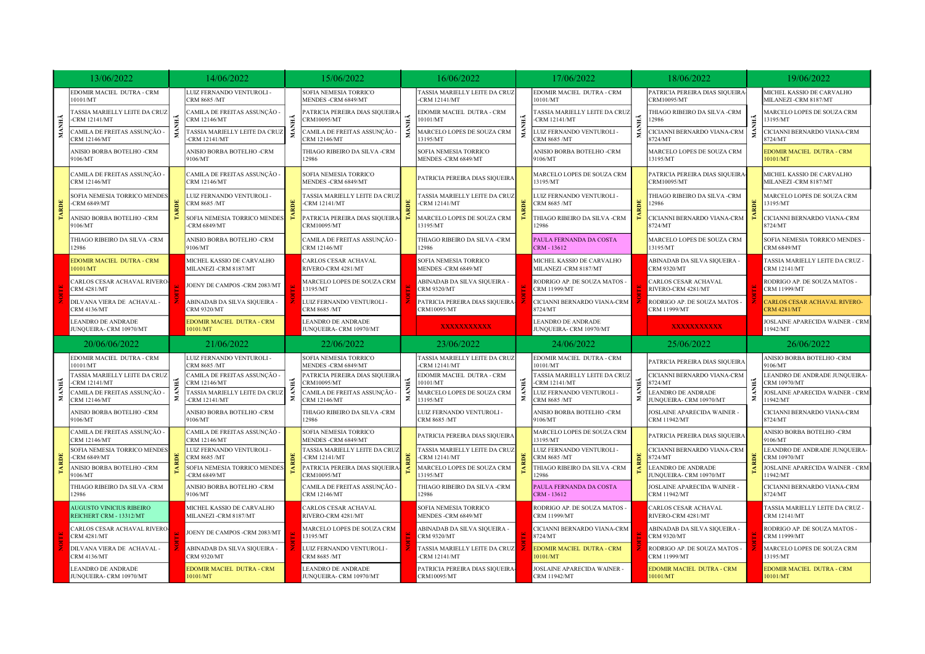|              | 13/06/2022                                                 |    | 14/06/2022                                          |                                       | 15/06/2022                                            |                                                     | 16/06/2022                                           |                                       | 17/06/2022                                                |                                                     | 18/06/2022                                         |                                        | 19/06/2022                                             |
|--------------|------------------------------------------------------------|----|-----------------------------------------------------|---------------------------------------|-------------------------------------------------------|-----------------------------------------------------|------------------------------------------------------|---------------------------------------|-----------------------------------------------------------|-----------------------------------------------------|----------------------------------------------------|----------------------------------------|--------------------------------------------------------|
|              | EDOMIR MACIEL DUTRA - CRM<br>10101/MT                      |    | LUIZ FERNANDO VENTUROLI -<br>CRM 8685 /MT           |                                       | SOFIA NEMESIA TORRICO<br>MENDES -CRM 6849/MT          | ASSIA MARIELLY LEITE DA CRUZ<br><b>CRM 12141/MT</b> | EDOMIR MACIEL DUTRA - CRM<br>10101/MT                |                                       | PATRICIA PEREIRA DIAS SIQUEIRA-<br>CRM10095/MT            |                                                     | MICHEL KASSIO DE CARVALHO<br>MILANEZI -CRM 8187/MT |                                        |                                                        |
|              | TASSIA MARIELLY LEITE DA CRUZ<br>-CRM 12141/MT             | НÃ | CAMILA DE FREITAS ASSUNÇÃO -<br><b>CRM 12146/MT</b> | ĂН                                    | PATRICIA PEREIRA DIAS SIQUEIRA-<br><b>CRM10095/MT</b> | НĂ                                                  | EDOMIR MACIEL DUTRA - CRM<br>0101/MT                 | Ě                                     | ASSIA MARIELLY LEITE DA CRUZ<br><b>CRM 12141/MT</b>       | MANHÃ                                               | THIAGO RIBEIRO DA SILVA -CRM<br>12986              | Ě                                      | MARCELO LOPES DE SOUZA CRM<br>13195/MT                 |
| MANHÃ        | CAMILA DE FREITAS ASSUNÇÃO -<br><b>CRM 12146/MT</b>        |    | TASSIA MARIELLY LEITE DA CRUZ<br>-CRM 12141/MT      |                                       | CAMILA DE FREITAS ASSUNÇÃO -<br><b>CRM 12146/MT</b>   |                                                     | MARCELO LOPES DE SOUZA CRM<br>13195/MT               |                                       | LUIZ FERNANDO VENTUROLI -<br>CRM 8685 /MT                 |                                                     | CICIANNI BERNARDO VIANA-CRM<br>8724/MT             |                                        | CICIANNI BERNARDO VIANA-CRM<br>8724/MT                 |
|              | ANISIO BORBA BOTELHO -CRM<br>9106/MT                       |    | ANISIO BORBA BOTELHO -CRM<br>9106/MT                |                                       | THIAGO RIBEIRO DA SILVA -CRM<br>12986                 |                                                     | SOFIA NEMESIA TORRICO<br><b>MENDES -CRM 6849/MT</b>  |                                       | ANISIO BORBA BOTELHO -CRM<br>9106/MT                      |                                                     | MARCELO LOPES DE SOUZA CRM<br>13195/MT             |                                        | EDOMIR MACIEL DUTRA - CRM<br>10101/MT                  |
|              | CAMILA DE FREITAS ASSUNÇÃO ·<br><b>CRM 12146/MT</b>        | ă  | CAMILA DE FREITAS ASSUNÇÃO<br><b>CRM 12146/MT</b>   | RDE                                   | SOFIA NEMESIA TORRICO<br>MENDES -CRM 6849/MT          |                                                     | PATRICIA PEREIRA DIAS SIQUEIRA                       |                                       | MARCELO LOPES DE SOUZA CRM<br>13195/MT                    | ARDE                                                | PATRICIA PEREIRA DIAS SIQUEIRA<br>CRM10095/MT      |                                        | MICHEL KASSIO DE CARVALHO<br>MILANEZI - CRM 8187/MT    |
|              | SOFIA NEMESIA TORRICO MENDES<br>-CRM $6849/MT$             |    | LUIZ FERNANDO VENTUROLI -<br>CRM 8685 /MT           |                                       | TASSIA MARIELLY LEITE DA CRUZ<br>-CRM 12141/MT        | ă                                                   | ASSIA MARIELLY LEITE DA CRUZ<br><b>CRM 12141/MT</b>  |                                       | LUIZ FERNANDO VENTUROLI -<br><b>CRM 8685 /MT</b>          |                                                     | THIAGO RIBEIRO DA SILVA -CRM<br>12986              | ă.                                     | MARCELO LOPES DE SOUZA CRM<br>13195/MT                 |
| <b>TARDE</b> | ANISIO BORBA BOTELHO -CRM<br>9106/MT                       |    | SOFIA NEMESIA TORRICO MENDES<br>-CRM 6849/MT        |                                       | PATRICIA PEREIRA DIAS SIQUEIRA-<br>CRM10095/MT        |                                                     | MARCELO LOPES DE SOUZA CRM<br>13195/MT               | TARDE                                 | THIAGO RIBEIRO DA SILVA -CRM<br>12986                     |                                                     | CICIANNI BERNARDO VIANA-CRM<br>8724/MT             |                                        | CICIANNI BERNARDO VIANA-CRM<br>8724/MT                 |
|              | THIAGO RIBEIRO DA SILVA -CRM<br>12986                      |    | ANISIO BORBA BOTELHO -CRM<br>9106/MT                |                                       | CAMILA DE FREITAS ASSUNÇÃO -<br>CRM 12146/MT          |                                                     | <b>FHIAGO RIBEIRO DA SILVA-CRM</b><br>12986          |                                       | PAULA FERNANDA DA COSTA<br>CRM - 13612                    |                                                     | MARCELO LOPES DE SOUZA CRM<br>13195/MT             |                                        | SOFIA NEMESIA TORRICO MENDES -<br>CRM 6849/MT          |
|              | <b>EDOMIR MACIEL DUTRA - CRM</b><br>10101/MT               |    | MICHEL KASSIO DE CARVALHO<br>MILANEZI -CRM 8187/MT  |                                       | CARLOS CESAR ACHAVAL<br>RIVERO-CRM 4281/MT            |                                                     | SOFIA NEMESIA TORRICO<br><b>MENDES -CRM 6849/MT</b>  |                                       | MICHEL KASSIO DE CARVALHO<br>MILANEZI -CRM 8187/MT        |                                                     | ABINADAB DA SILVA SIQUEIRA -<br><b>CRM 9320/MT</b> |                                        | TASSIA MARIELLY LEITE DA CRUZ -<br><b>CRM 12141/MT</b> |
|              | CARLOS CESAR ACHAVAL RIVERO<br><b>CRM 4281/MT</b>          |    | JOENY DE CAMPOS -CRM 2083/MT                        |                                       | MARCELO LOPES DE SOUZA CRM<br>13195/MT                |                                                     | ABINADAB DA SILVA SIQUEIRA<br><b>CRM 9320/MT</b>     |                                       | RODRIGO AP. DE SOUZA MATOS -<br>CRM 11999/MT              |                                                     | CARLOS CESAR ACHAVAL<br>RIVERO-CRM 4281/MT         |                                        | RODRIGO AP. DE SOUZA MATOS -<br>CRM 11999/MT           |
|              | DILVANA VIERA DE ACHAVAL -<br>CRM 4136/MT                  |    | ABINADAB DA SILVA SIQUEIRA -<br><b>CRM 9320/MT</b>  |                                       | LUIZ FERNANDO VENTUROLI -<br>CRM 8685 /MT             |                                                     | PATRICIA PEREIRA DIAS SIQUEIRA-<br>CRM10095/MT       |                                       | CICIANNI BERNARDO VIANA-CRM<br>8724/MT                    |                                                     | RODRIGO AP. DE SOUZA MATOS -<br>CRM 11999/MT       |                                        | CARLOS CESAR ACHAVAL RIVERO-<br><b>CRM 4281/MT</b>     |
|              | <b>LEANDRO DE ANDRADE</b><br>JUNQUEIRA- CRM 10970/MT       |    | EDOMIR MACIEL DUTRA - CRM<br>10101/MT               |                                       | <b>LEANDRO DE ANDRADE</b><br>JUNQUEIRA- CRM 10970/MT  |                                                     | <b>XXXXXXXXXXX</b>                                   |                                       | LEANDRO DE ANDRADE<br>JUNQUEIRA- CRM 10970/MT             |                                                     | <b>XXXXXXXXXXX</b>                                 |                                        | JOSLAINE APARECIDA WAINER - CRN<br>11942/MT            |
|              | 20/06/06/2022<br>21/06/2022                                |    |                                                     | 22/06/2022                            |                                                       | 23/06/2022                                          |                                                      | 24/06/2022                            |                                                           | 25/06/2022                                          |                                                    | 26/06/2022                             |                                                        |
|              | EDOMIR MACIEL DUTRA - CRM<br>10101/MT                      |    | LUIZ FERNANDO VENTUROLI -<br>CRM 8685 /MT           |                                       | <b>SOFIA NEMESIA TORRICO</b><br>MENDES -CRM 6849/MT   |                                                     | TASSIA MARIELLY LEITE DA CRUZ<br><b>CRM 12141/MT</b> |                                       | EDOMIR MACIEL DUTRA - CRM<br>10101/MT                     | Σ.                                                  | PATRICIA PEREIRA DIAS SIQUEIRA                     | <b>ANHĂ</b><br>Σ                       | ANISIO BORBA BOTELHO -CRM<br>9106/MT                   |
|              | TASSIA MARIELLY LEITE DA CRUZ<br>-CRM 12141/MT             |    | CAMILA DE FREITAS ASSUNÇÃO -<br>CRM 12146/MT        |                                       | PATRICIA PEREIRA DIAS SIQUEIRA-<br>CRM10095/MT        | 4                                                   | EDOMIR MACIEL DUTRA - CRM<br>0101/MT                 | MANHÃ                                 | ASSIA MARIELLY LEITE DA CRUZ<br>CRM 12141/MT              |                                                     | CICIANNI BERNARDO VIANA-CRM<br>8724/MT             |                                        | LEANDRO DE ANDRADE JUNQUEIRA-<br>CRM 10970/MT          |
| MANHÃ        | CAMILA DE FREITAS ASSUNÇÃO -<br><b>CRM 12146/MT</b>        | Σ. | TASSIA MARIELLY LEITE DA CRUZ<br>-CRM 12141/MT      | Σ                                     | CAMILA DE FREITAS ASSUNÇÃO -<br><b>CRM 12146/MT</b>   | Σ                                                   | MARCELO LOPES DE SOUZA CRM<br>13195/MT               |                                       | LUIZ FERNANDO VENTUROLI -<br><b>CRM 8685 /MT</b>          |                                                     | LEANDRO DE ANDRADE<br>JUNQUEIRA- CRM 10970/MT      |                                        | JOSLAINE APARECIDA WAINER - CRM<br>11942/MT            |
|              | ANISIO BORBA BOTELHO -CRM<br>9106/MT                       |    | ANISIO BORBA BOTELHO -CRM<br>9106/MT                | THIAGO RIBEIRO DA SILVA -CRM<br>12986 | <b>LUIZ FERNANDO VENTUROLI -</b><br>CRM 8685 /MT      |                                                     | ANISIO BORBA BOTELHO -CRM<br>9106/MT                 |                                       | <b>JOSLAINE APARECIDA WAINER -</b><br><b>CRM 11942/MT</b> |                                                     | CICIANNI BERNARDO VIANA-CRM<br>8724/MT             |                                        |                                                        |
|              | CAMILA DE FREITAS ASSUNÇÃO -<br><b>CRM 12146/MT</b>        |    | CAMILA DE FREITAS ASSUNÇÃO ·<br>CRM 12146/MT        |                                       | SOFIA NEMESIA TORRICO<br>MENDES -CRM 6849/MT          |                                                     | PATRICIA PEREIRA DIAS SIQUEIRA                       |                                       | MARCELO LOPES DE SOUZA CRM<br>13195/MT                    |                                                     | PATRICIA PEREIRA DIAS SIQUEIRA                     |                                        | ANISIO BORBA BOTELHO -CRM<br>9106/MT                   |
| <b>ARDE</b>  | SOFIA NEMESIA TORRICO MENDES<br>-CRM $6849/MT$             |    | LUIZ FERNANDO VENTUROLI -<br>CRM 8685 /MT           |                                       | TASSIA MARIELLY LEITE DA CRUZ<br>-CRM 12141/MT        | 鬨                                                   | TASSIA MARIELLY LEITE DA CRUZ<br>-CRM 12141/MT       | 昌<br>띗                                | LUIZ FERNANDO VENTUROLI -<br>CRM 8685 /MT                 | 昌                                                   | CICIANNI BERNARDO VIANA-CRM<br>8724/MT             |                                        | LEANDRO DE ANDRADE JUNQUEIRA-<br><b>CRM 10970/MT</b>   |
|              | ANISIO BORBA BOTELHO -CRM<br>9106/MT                       |    | SOFIA NEMESIA TORRICO MENDES<br>$-CRM 6849/MT$      |                                       | PATRICIA PEREIRA DIAS SIQUEIRA-<br>CRM10095/MT        |                                                     | MARCELO LOPES DE SOUZA CRM<br>13195/MT               |                                       | THIAGO RIBEIRO DA SILVA -CRM<br>12986                     |                                                     | LEANDRO DE ANDRADE<br>JUNQUEIRA- CRM 10970/MT      |                                        | JOSLAINE APARECIDA WAINER - CRM<br>11942/MT            |
|              | THIAGO RIBEIRO DA SILVA -CRM<br>12986                      |    | ANISIO BORBA BOTELHO -CRM<br>9106/MT                |                                       | CAMILA DE FREITAS ASSUNÇÃO -<br>CRM 12146/MT          |                                                     | THIAGO RIBEIRO DA SILVA -CRM<br>12986                |                                       | PAULA FERNANDA DA COSTA<br>CRM - 13612                    |                                                     | <b>JOSLAINE APARECIDA WAINER</b><br>CRM 11942/MT   |                                        | CICIANNI BERNARDO VIANA-CRM<br>8724/MT                 |
|              | <b>AUGUSTO VINICIUS RIBEIRO</b><br>REICHERT CRM - 13312/MT |    | MICHEL KASSIO DE CARVALHO<br>MILANEZI -CRM 8187/MT  |                                       | CARLOS CESAR ACHAVAL<br>RIVERO-CRM 4281/MT            |                                                     | SOFIA NEMESIA TORRICO<br>MENDES - CRM 6849/MT        |                                       | RODRIGO AP. DE SOUZA MATOS -<br><b>CRM 11999/MT</b>       |                                                     | CARLOS CESAR ACHAVAL<br>RIVERO-CRM 4281/MT         |                                        | TASSIA MARIELLY LEITE DA CRUZ -<br><b>CRM 12141/MT</b> |
|              | CARLOS CESAR ACHAVAL RIVERO<br><b>CRM 4281/MT</b>          |    | JOENY DE CAMPOS -CRM 2083/MT                        |                                       | MARCELO LOPES DE SOUZA CRM<br>13195/MT                |                                                     | ABINADAB DA SILVA SIQUEIRA ·<br><b>CRM 9320/MT</b>   |                                       | CICIANNI BERNARDO VIANA-CRM<br>8724/MT                    |                                                     | ABINADAB DA SILVA SIQUEIRA -<br><b>CRM 9320/MT</b> |                                        | RODRIGO AP. DE SOUZA MATOS -<br>CRM 11999/MT           |
|              | DILVANA VIERA DE ACHAVAL -<br><b>CRM 4136/MT</b>           |    | ABINADAB DA SILVA SIQUEIRA -<br><b>CRM 9320/MT</b>  |                                       | LUIZ FERNANDO VENTUROLI -<br>CRM 8685 /MT             |                                                     | TASSIA MARIELLY LEITE DA CRUZ<br><b>CRM 12141/MT</b> | EDOMIR MACIEL DUTRA - CRM<br>10101/MT |                                                           | RODRIGO AP. DE SOUZA MATOS -<br><b>CRM 11999/MT</b> |                                                    | MARCELO LOPES DE SOUZA CRM<br>13195/MT |                                                        |
|              | LEANDRO DE ANDRADE<br>JUNQUEIRA- CRM 10970/MT              |    | EDOMIR MACIEL DUTRA - CRM<br>10101/MT               |                                       | LEANDRO DE ANDRADE<br>JUNQUEIRA- CRM 10970/MT         |                                                     | PATRICIA PEREIRA DIAS SIQUEIRA-<br>CRM10095/MT       |                                       | JOSLAINE APARECIDA WAINER -<br><b>CRM 11942/MT</b>        |                                                     | EDOMIR MACIEL DUTRA - CRM<br>10101/MT              |                                        | EDOMIR MACIEL DUTRA - CRM<br>10101/MT                  |